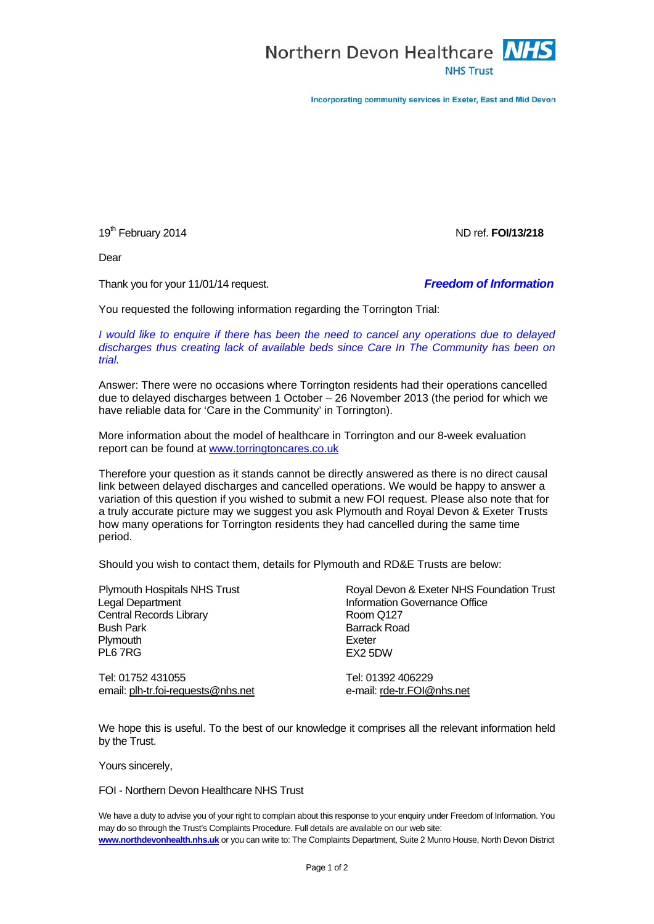

Incorporating community services in Exeter, East and Mid Devon

19th February 2014 ND ref. **FOI/13/218**

Dear

Thank you for your 11/01/14 request. *Freedom of Information*

You requested the following information regarding the Torrington Trial:

*I* would like to enquire if there has been the need to cancel any operations due to delayed *discharges thus creating lack of available beds since Care In The Community has been on trial.*

Answer: There were no occasions where Torrington residents had their operations cancelled due to delayed discharges between 1 October – 26 November 2013 (the period for which we have reliable data for 'Care in the Community' in Torrington).

More information about the model of healthcare in Torrington and our 8-week evaluation report can be found at [www.torringtoncares.co.uk](http://www.torringtoncares.co.uk/)

Therefore your question as it stands cannot be directly answered as there is no direct causal link between delayed discharges and cancelled operations. We would be happy to answer a variation of this question if you wished to submit a new FOI request. Please also note that for a truly accurate picture may we suggest you ask Plymouth and Royal Devon & Exeter Trusts how many operations for Torrington residents they had cancelled during the same time period.

Should you wish to contact them, details for Plymouth and RD&E Trusts are below:

Plymouth Hospitals NHS Trust Legal Department Central Records Library Bush Park **Plymouth** PL6 7RG

Tel: 01752 431055 email[: plh-tr.foi-requests@nhs.net](mailto:plh-tr.foi-requests@nhs.net)

Royal Devon & Exeter NHS Foundation Trust Information Governance Office Room Q127 Barrack Road Exeter EX2 5DW

Tel: 01392 406229 e-mail: [rde-tr.FOI@nhs.net](mailto:rde-tr.FOI@nhs.net)

We hope this is useful. To the best of our knowledge it comprises all the relevant information held by the Trust.

Yours sincerely,

FOI - Northern Devon Healthcare NHS Trust

We have a duty to advise you of your right to complain about this response to your enquiry under Freedom of Information. You may do so through the Trust's Complaints Procedure. Full details are available on our web site: **[www.northdevonhealth.nhs.uk](http://www.northdevonhealth.nhs.uk/)** or you can write to: The Complaints Department, Suite 2 Munro House, North Devon District